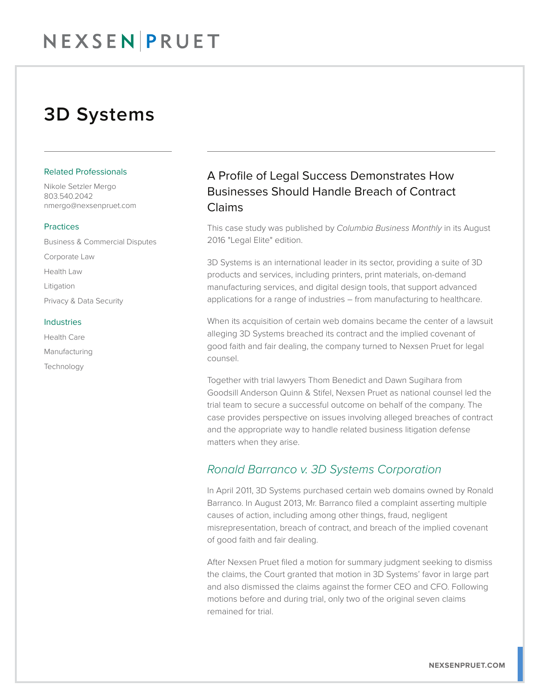## 3D Systems

#### Related Professionals

Nikole Setzler Mergo 803.540.2042 nmergo@nexsenpruet.com

#### **Practices**

Business & Commercial Disputes Corporate Law Health Law Litigation Privacy & Data Security

#### Industries

Health Care Manufacturing Technology

## A Profile of Legal Success Demonstrates How Businesses Should Handle Breach of Contract Claims

This case study was published by *Columbia Business Monthly* in its August 2016 "Legal Elite" edition.

3D Systems is an international leader in its sector, providing a suite of 3D products and services, including printers, print materials, on-demand manufacturing services, and digital design tools, that support advanced applications for a range of industries – from manufacturing to healthcare.

When its acquisition of certain web domains became the center of a lawsuit alleging 3D Systems breached its contract and the implied covenant of good faith and fair dealing, the company turned to Nexsen Pruet for legal counsel.

Together with trial lawyers Thom Benedict and Dawn Sugihara from Goodsill Anderson Quinn & Stifel, Nexsen Pruet as national counsel led the trial team to secure a successful outcome on behalf of the company. The case provides perspective on issues involving alleged breaches of contract and the appropriate way to handle related business litigation defense matters when they arise.

### *Ronald Barranco v. 3D Systems Corporation*

In April 2011, 3D Systems purchased certain web domains owned by Ronald Barranco. In August 2013, Mr. Barranco filed a complaint asserting multiple causes of action, including among other things, fraud, negligent misrepresentation, breach of contract, and breach of the implied covenant of good faith and fair dealing.

After Nexsen Pruet filed a motion for summary judgment seeking to dismiss the claims, the Court granted that motion in 3D Systems' favor in large part and also dismissed the claims against the former CEO and CFO. Following motions before and during trial, only two of the original seven claims remained for trial.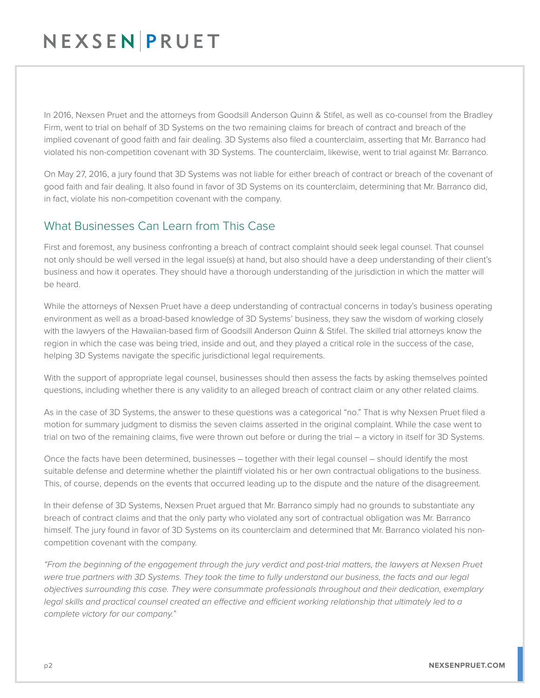# NEXSENPRUET

In 2016, Nexsen Pruet and the attorneys from Goodsill Anderson Quinn & Stifel, as well as co-counsel from the Bradley Firm, went to trial on behalf of 3D Systems on the two remaining claims for breach of contract and breach of the implied covenant of good faith and fair dealing. 3D Systems also filed a counterclaim, asserting that Mr. Barranco had violated his non-competition covenant with 3D Systems. The counterclaim, likewise, went to trial against Mr. Barranco.

On May 27, 2016, a jury found that 3D Systems was not liable for either breach of contract or breach of the covenant of good faith and fair dealing. It also found in favor of 3D Systems on its counterclaim, determining that Mr. Barranco did, in fact, violate his non-competition covenant with the company.

### What Businesses Can Learn from This Case

First and foremost, any business confronting a breach of contract complaint should seek legal counsel. That counsel not only should be well versed in the legal issue(s) at hand, but also should have a deep understanding of their client's business and how it operates. They should have a thorough understanding of the jurisdiction in which the matter will be heard.

While the attorneys of Nexsen Pruet have a deep understanding of contractual concerns in today's business operating environment as well as a broad-based knowledge of 3D Systems' business, they saw the wisdom of working closely with the lawyers of the Hawaiian-based firm of Goodsill Anderson Quinn & Stifel. The skilled trial attorneys know the region in which the case was being tried, inside and out, and they played a critical role in the success of the case, helping 3D Systems navigate the specific jurisdictional legal requirements.

With the support of appropriate legal counsel, businesses should then assess the facts by asking themselves pointed questions, including whether there is any validity to an alleged breach of contract claim or any other related claims.

As in the case of 3D Systems, the answer to these questions was a categorical "no." That is why Nexsen Pruet filed a motion for summary judgment to dismiss the seven claims asserted in the original complaint. While the case went to trial on two of the remaining claims, five were thrown out before or during the trial – a victory in itself for 3D Systems.

Once the facts have been determined, businesses – together with their legal counsel – should identify the most suitable defense and determine whether the plaintiff violated his or her own contractual obligations to the business. This, of course, depends on the events that occurred leading up to the dispute and the nature of the disagreement.

In their defense of 3D Systems, Nexsen Pruet argued that Mr. Barranco simply had no grounds to substantiate any breach of contract claims and that the only party who violated any sort of contractual obligation was Mr. Barranco himself. The jury found in favor of 3D Systems on its counterclaim and determined that Mr. Barranco violated his noncompetition covenant with the company.

*"From the beginning of the engagement through the jury verdict and post-trial matters, the lawyers at Nexsen Pruet were true partners with 3D Systems. They took the time to fully understand our business, the facts and our legal objectives surrounding this case. They were consummate professionals throughout and their dedication, exemplary legal skills and practical counsel created an effective and efficient working relationship that ultimately led to a complete victory for our company."*